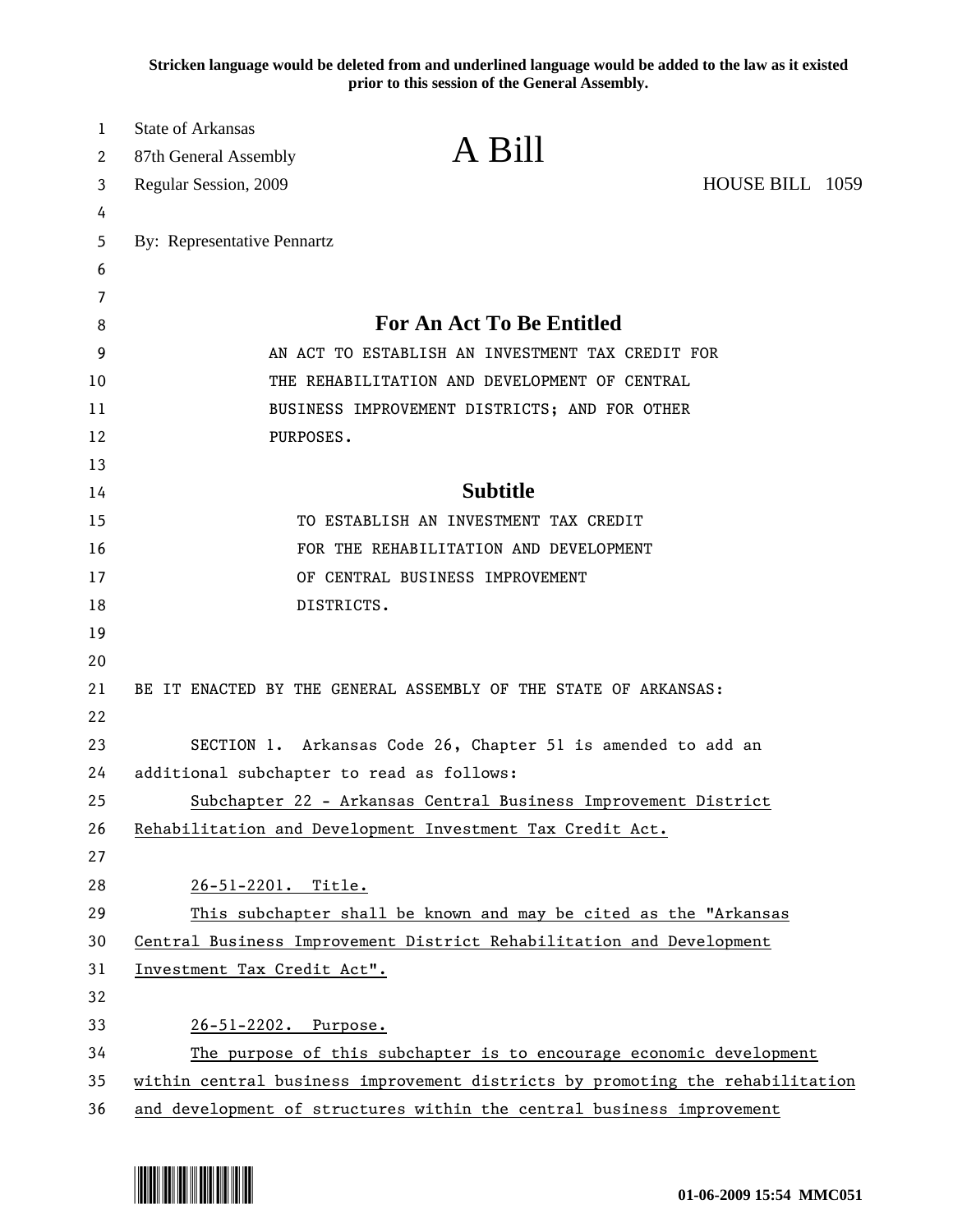**Stricken language would be deleted from and underlined language would be added to the law as it existed prior to this session of the General Assembly.**

| 1<br>2 | <b>State of Arkansas</b><br>87th General Assembly | A Bill                                                                        |                 |  |
|--------|---------------------------------------------------|-------------------------------------------------------------------------------|-----------------|--|
| 3      | Regular Session, 2009                             |                                                                               | HOUSE BILL 1059 |  |
| 4      |                                                   |                                                                               |                 |  |
| 5      | By: Representative Pennartz                       |                                                                               |                 |  |
| 6      |                                                   |                                                                               |                 |  |
| 7      |                                                   |                                                                               |                 |  |
| 8      |                                                   | <b>For An Act To Be Entitled</b>                                              |                 |  |
| 9      |                                                   | AN ACT TO ESTABLISH AN INVESTMENT TAX CREDIT FOR                              |                 |  |
| 10     |                                                   | THE REHABILITATION AND DEVELOPMENT OF CENTRAL                                 |                 |  |
| 11     |                                                   | BUSINESS IMPROVEMENT DISTRICTS; AND FOR OTHER                                 |                 |  |
| 12     | PURPOSES.                                         |                                                                               |                 |  |
| 13     |                                                   |                                                                               |                 |  |
| 14     |                                                   | <b>Subtitle</b>                                                               |                 |  |
| 15     |                                                   | TO ESTABLISH AN INVESTMENT TAX CREDIT                                         |                 |  |
| 16     |                                                   | FOR THE REHABILITATION AND DEVELOPMENT                                        |                 |  |
| 17     |                                                   | OF CENTRAL BUSINESS IMPROVEMENT                                               |                 |  |
| 18     | DISTRICTS.                                        |                                                                               |                 |  |
| 19     |                                                   |                                                                               |                 |  |
| 20     |                                                   |                                                                               |                 |  |
| 21     |                                                   | BE IT ENACTED BY THE GENERAL ASSEMBLY OF THE STATE OF ARKANSAS:               |                 |  |
| 22     |                                                   |                                                                               |                 |  |
| 23     |                                                   | SECTION 1. Arkansas Code 26, Chapter 51 is amended to add an                  |                 |  |
| 24     | additional subchapter to read as follows:         |                                                                               |                 |  |
| 25     |                                                   | Subchapter 22 - Arkansas Central Business Improvement District                |                 |  |
| 26     |                                                   | Rehabilitation and Development Investment Tax Credit Act.                     |                 |  |
| 27     |                                                   |                                                                               |                 |  |
| 28     | 26-51-2201. Title.                                |                                                                               |                 |  |
| 29     |                                                   | This subchapter shall be known and may be cited as the "Arkansas              |                 |  |
| 30     |                                                   | Central Business Improvement District Rehabilitation and Development          |                 |  |
| 31     | Investment Tax Credit Act".                       |                                                                               |                 |  |
| 32     |                                                   |                                                                               |                 |  |
| 33     | 26-51-2202. Purpose.                              |                                                                               |                 |  |
| 34     |                                                   | The purpose of this subchapter is to encourage economic development           |                 |  |
| 35     |                                                   | within central business improvement districts by promoting the rehabilitation |                 |  |
| 36     |                                                   | and development of structures within the central business improvement         |                 |  |

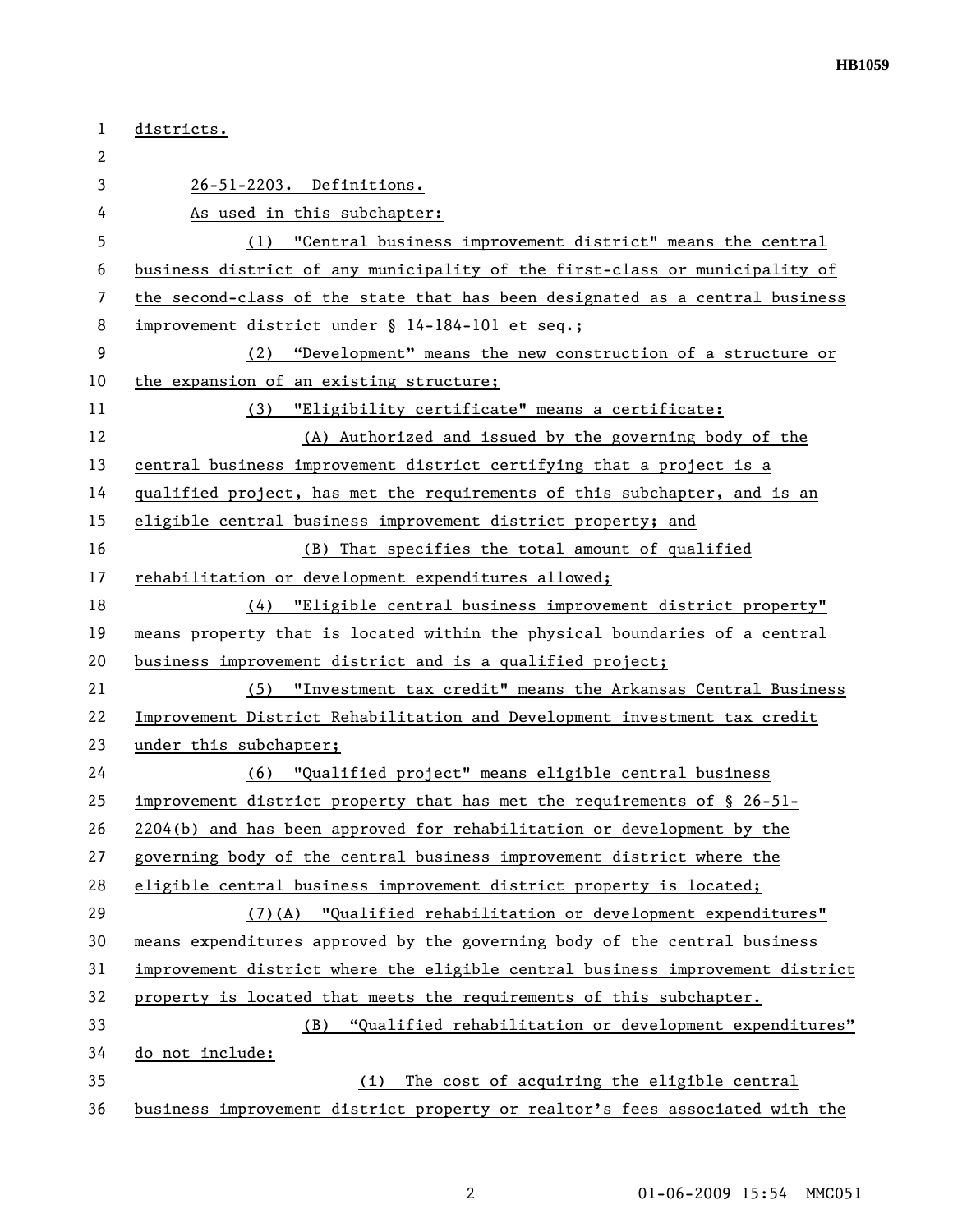| 1              | districts.                                                                    |
|----------------|-------------------------------------------------------------------------------|
| 2              |                                                                               |
| 3              | 26-51-2203. Definitions.                                                      |
| 4              | As used in this subchapter:                                                   |
| 5              | "Central business improvement district" means the central<br>(1)              |
| 6              | business district of any municipality of the first-class or municipality of   |
| $\overline{7}$ | the second-class of the state that has been designated as a central business  |
| 8              | improvement district under § 14-184-101 et seq.;                              |
| 9              | (2) "Development" means the new construction of a structure or                |
| 10             | the expansion of an existing structure;                                       |
| 11             | "Eligibility certificate" means a certificate:<br>(3)                         |
| 12             | (A) Authorized and issued by the governing body of the                        |
| 13             | central business improvement district certifying that a project is a          |
| 14             | qualified project, has met the requirements of this subchapter, and is an     |
| 15             | eligible central business improvement district property; and                  |
| 16             | (B) That specifies the total amount of qualified                              |
| 17             | rehabilitation or development expenditures allowed;                           |
| 18             | (4) "Eligible central business improvement district property"                 |
| 19             | means property that is located within the physical boundaries of a central    |
| 20             | business improvement district and is a qualified project;                     |
| 21             | (5) "Investment tax credit" means the Arkansas Central Business               |
| 22             | Improvement District Rehabilitation and Development investment tax credit     |
| 23             | under this subchapter;                                                        |
| 24             | (6) "Qualified project" means eligible central business                       |
| 25             | improvement district property that has met the requirements of $\S$ 26-51-    |
| 26             | 2204(b) and has been approved for rehabilitation or development by the        |
| 27             | governing body of the central business improvement district where the         |
| 28             | eligible central business improvement district property is located;           |
| 29             | (7)(A) "Qualified rehabilitation or development expenditures"                 |
| 30             | means expenditures approved by the governing body of the central business     |
| 31             | improvement district where the eligible central business improvement district |
| 32             | property is located that meets the requirements of this subchapter.           |
| 33             | "Qualified rehabilitation or development expenditures"<br>(B)                 |
| 34             | do not include:                                                               |
| 35             | The cost of acquiring the eligible central<br>(i)                             |
| 36             | business improvement district property or realtor's fees associated with the  |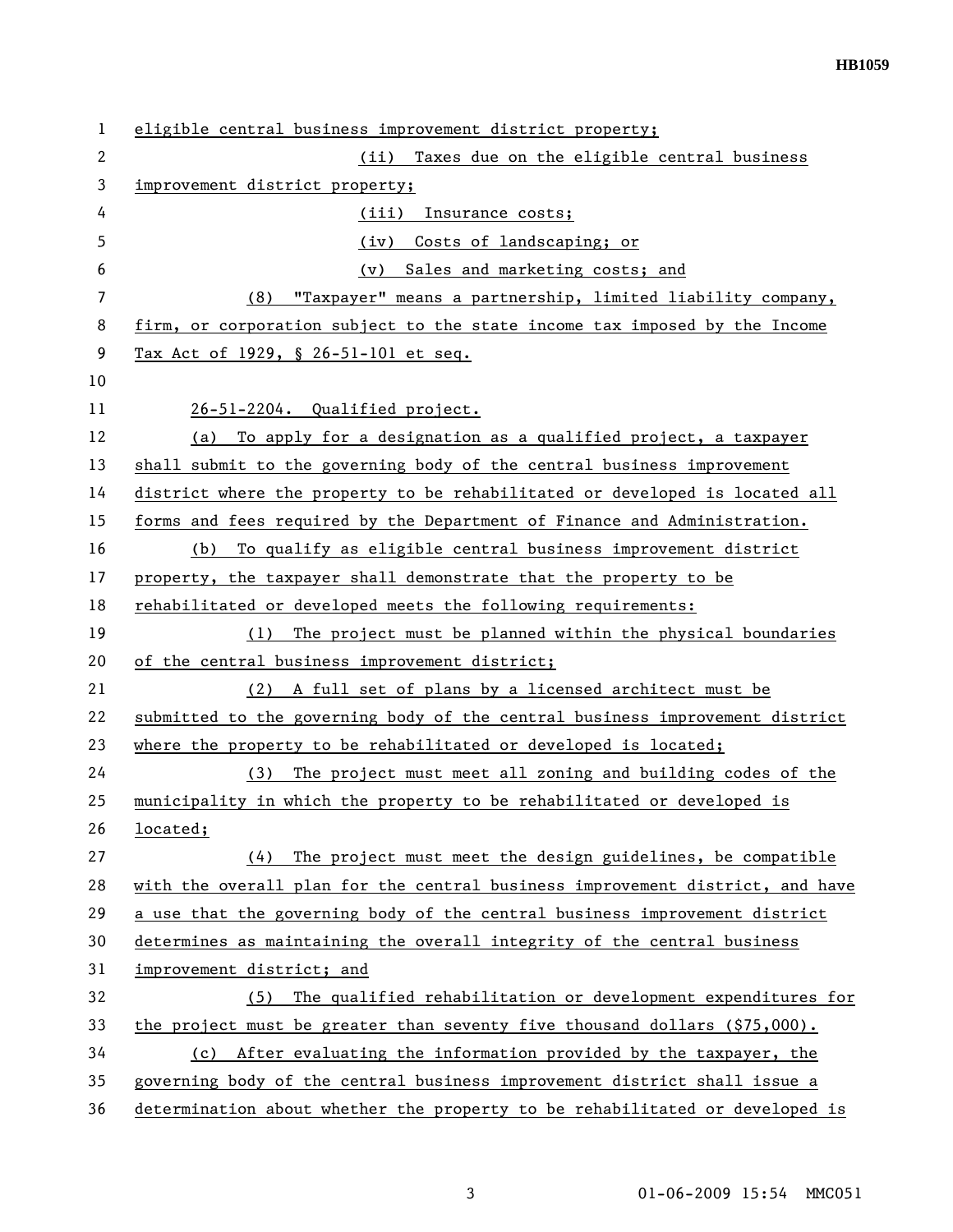| 1              | eligible central business improvement district property;                      |
|----------------|-------------------------------------------------------------------------------|
| $\mathbf{2}$   | (ii) Taxes due on the eligible central business                               |
| 3              | improvement district property;                                                |
| 4              | (iii)<br>Insurance costs;                                                     |
| 5              | Costs of landscaping; or<br>(iv)                                              |
| 6              | Sales and marketing costs; and<br>(v)                                         |
| $\overline{7}$ | "Taxpayer" means a partnership, limited liability company,<br>(8)             |
| 8              | firm, or corporation subject to the state income tax imposed by the Income    |
| 9              | Tax Act of 1929, § 26-51-101 et seq.                                          |
| 10             |                                                                               |
| 11             | 26-51-2204. Qualified project.                                                |
| 12             | To apply for a designation as a qualified project, a taxpayer<br>(a)          |
| 13             | shall submit to the governing body of the central business improvement        |
| 14             | district where the property to be rehabilitated or developed is located all   |
| 15             | forms and fees required by the Department of Finance and Administration.      |
| 16             | To qualify as eligible central business improvement district<br>(b)           |
| 17             | property, the taxpayer shall demonstrate that the property to be              |
| 18             | rehabilitated or developed meets the following requirements:                  |
| 19             | The project must be planned within the physical boundaries<br>(1)             |
| 20             | of the central business improvement district;                                 |
| 21             | (2) A full set of plans by a licensed architect must be                       |
| 22             | submitted to the governing body of the central business improvement district  |
| 23             | where the property to be rehabilitated or developed is located;               |
| 24             | The project must meet all zoning and building codes of the<br>(3)             |
| 25             | municipality in which the property to be rehabilitated or developed is        |
| 26             | located;                                                                      |
| 27             | The project must meet the design guidelines, be compatible<br>(4)             |
| 28             | with the overall plan for the central business improvement district, and have |
| 29             | a use that the governing body of the central business improvement district    |
| 30             | determines as maintaining the overall integrity of the central business       |
| 31             | improvement district; and                                                     |
| 32             | The qualified rehabilitation or development expenditures for<br>(5)           |
| 33             | the project must be greater than seventy five thousand dollars $( $75,000)$ . |
| 34             | (c) After evaluating the information provided by the taxpayer, the            |
| 35             | governing body of the central business improvement district shall issue a     |
| 36             | determination about whether the property to be rehabilitated or developed is  |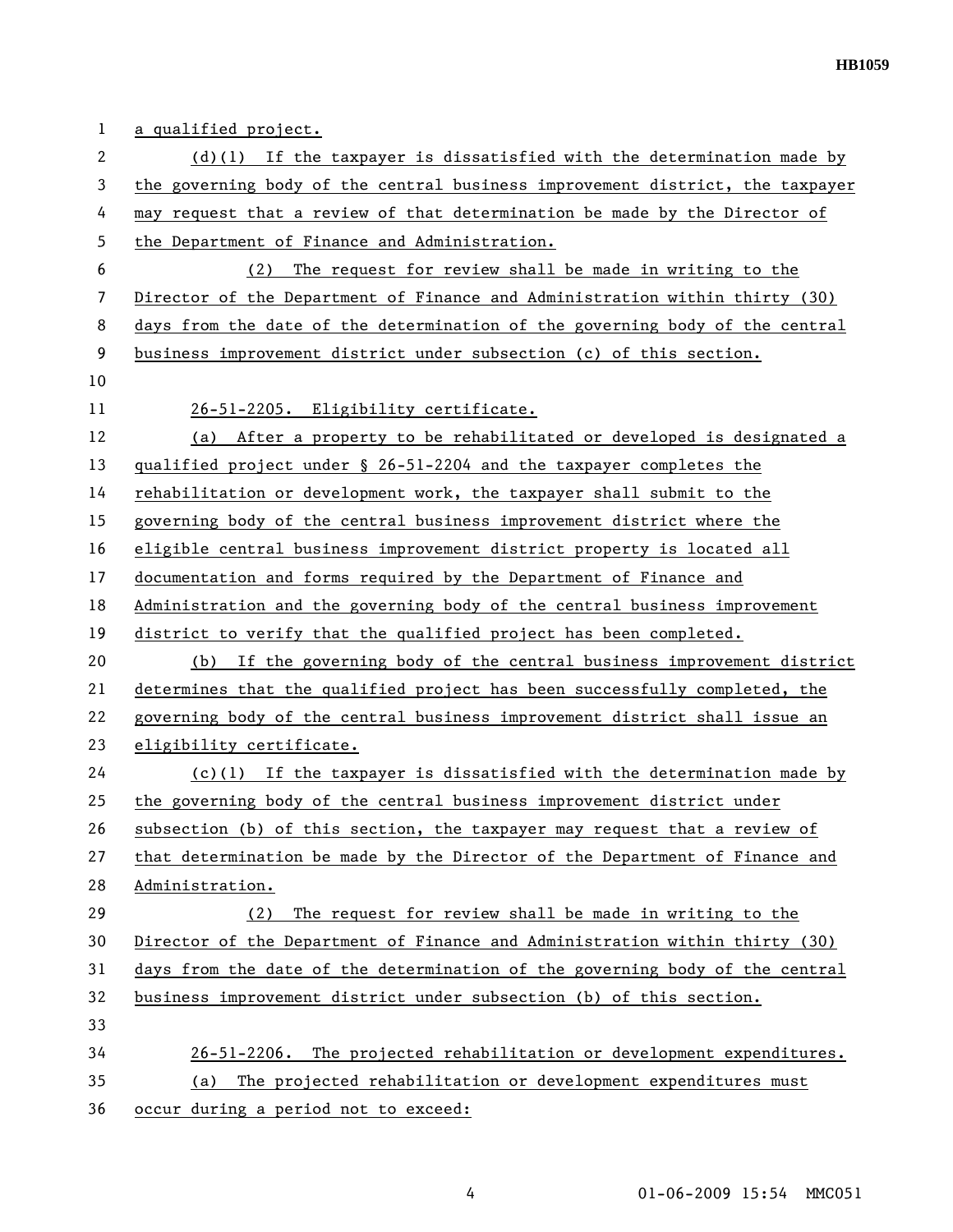**HB1059** 

| $\mathbf{1}$ | a qualified project.                                                          |
|--------------|-------------------------------------------------------------------------------|
| 2            | $(d)(1)$ If the taxpayer is dissatisfied with the determination made by       |
| 3            | the governing body of the central business improvement district, the taxpayer |
| 4            | may request that a review of that determination be made by the Director of    |
| 5            | the Department of Finance and Administration.                                 |
| 6            | (2) The request for review shall be made in writing to the                    |
| 7            | Director of the Department of Finance and Administration within thirty (30)   |
| 8            | days from the date of the determination of the governing body of the central  |
| 9            | business improvement district under subsection (c) of this section.           |
| 10           |                                                                               |
| 11           | 26-51-2205. Eligibility certificate.                                          |
| 12           | (a) After a property to be rehabilitated or developed is designated a         |
| 13           | qualified project under § 26-51-2204 and the taxpayer completes the           |
| 14           | rehabilitation or development work, the taxpayer shall submit to the          |
| 15           | governing body of the central business improvement district where the         |
| 16           | eligible central business improvement district property is located all        |
| 17           | documentation and forms required by the Department of Finance and             |
| 18           | Administration and the governing body of the central business improvement     |
| 19           | district to verify that the qualified project has been completed.             |
| 20           | (b) If the governing body of the central business improvement district        |
| 21           | determines that the qualified project has been successfully completed, the    |
| 22           | governing body of the central business improvement district shall issue an    |
| 23           | eligibility certificate.                                                      |
| 24           | $(c)(1)$ If the taxpayer is dissatisfied with the determination made by       |
| 25           | the governing body of the central business improvement district under         |
| 26           | subsection (b) of this section, the taxpayer may request that a review of     |
| 27           | that determination be made by the Director of the Department of Finance and   |
| 28           | Administration.                                                               |
| 29           | The request for review shall be made in writing to the<br>(2)                 |
| 30           | Director of the Department of Finance and Administration within thirty (30)   |
| 31           | days from the date of the determination of the governing body of the central  |
| 32           | business improvement district under subsection (b) of this section.           |
| 33           |                                                                               |
| 34           | 26-51-2206. The projected rehabilitation or development expenditures.         |
| 35           | The projected rehabilitation or development expenditures must<br>(a)          |
| 36           | occur during a period not to exceed:                                          |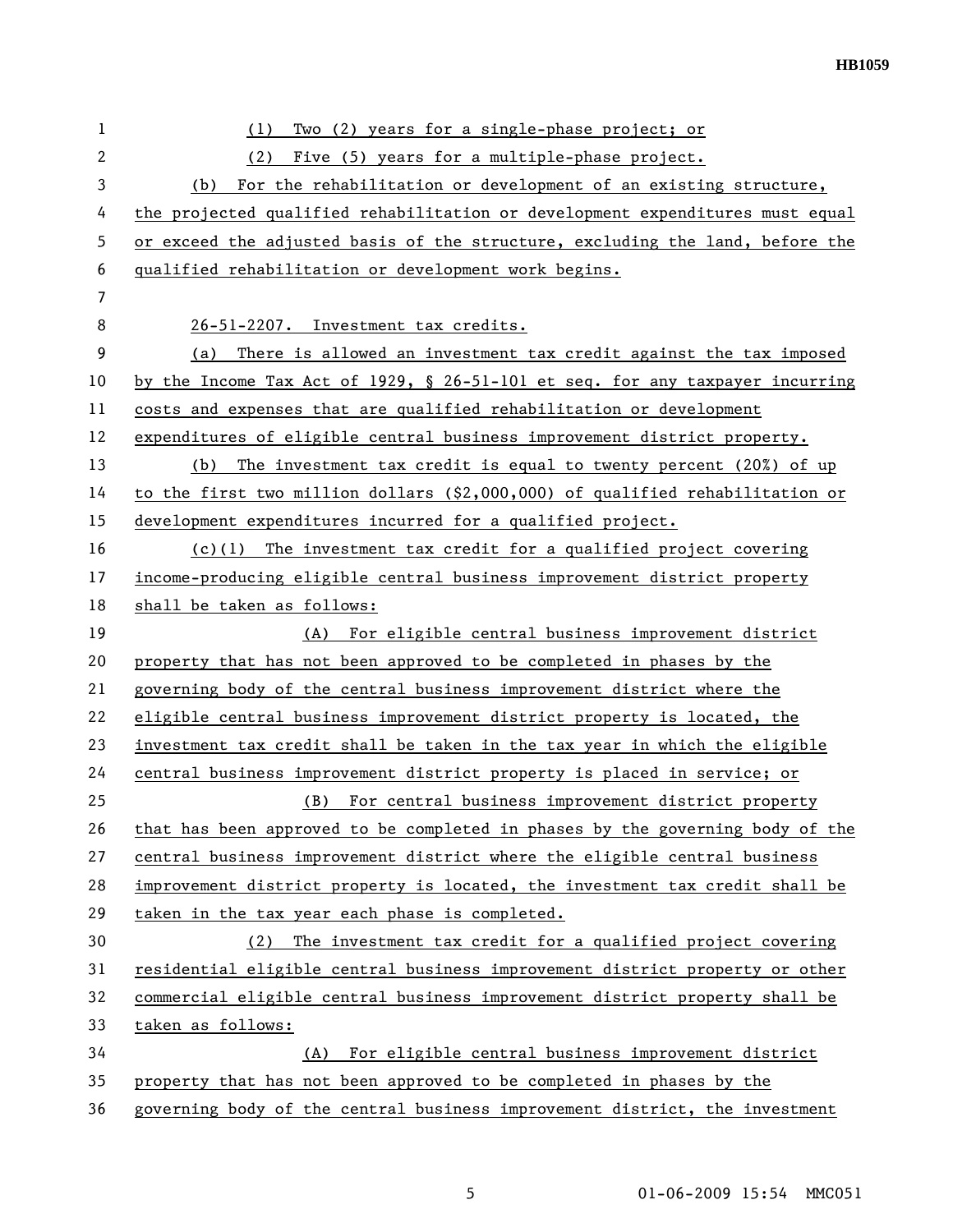| 1              | Two (2) years for a single-phase project; or<br>(1)                              |
|----------------|----------------------------------------------------------------------------------|
| $\overline{c}$ | Five (5) years for a multiple-phase project.<br>(2)                              |
| 3              | For the rehabilitation or development of an existing structure,<br>(b)           |
| 4              | the projected qualified rehabilitation or development expenditures must equal    |
| 5              | or exceed the adjusted basis of the structure, excluding the land, before the    |
| 6              | qualified rehabilitation or development work begins.                             |
| 7              |                                                                                  |
| 8              | 26-51-2207. Investment tax credits.                                              |
| 9              | There is allowed an investment tax credit against the tax imposed<br>(a)         |
| 10             | by the Income Tax Act of 1929, $\S$ 26-51-101 et seq. for any taxpayer incurring |
| 11             | costs and expenses that are qualified rehabilitation or development              |
| 12             | expenditures of eligible central business improvement district property.         |
| 13             | The investment tax credit is equal to twenty percent $(20%)$ of up<br>(b)        |
| 14             | to the first two million dollars $( $2,000,000)$ of qualified rehabilitation or  |
| 15             | development expenditures incurred for a qualified project.                       |
| 16             | $(c)(1)$ The investment tax credit for a qualified project covering              |
| 17             | income-producing eligible central business improvement district property         |
| 18             | shall be taken as follows:                                                       |
| 19             | (A) For eligible central business improvement district                           |
| 20             | property that has not been approved to be completed in phases by the             |
| 21             | governing body of the central business improvement district where the            |
| 22             | eligible central business improvement district property is located, the          |
| 23             | investment tax credit shall be taken in the tax year in which the eligible       |
| 24             | central business improvement district property is placed in service; or          |
| 25             | For central business improvement district property<br>(B)                        |
| 26             | that has been approved to be completed in phases by the governing body of the    |
| 27             | central business improvement district where the eligible central business        |
| 28             | improvement district property is located, the investment tax credit shall be     |
| 29             | taken in the tax year each phase is completed.                                   |
| 30             | The investment tax credit for a qualified project covering<br>(2)                |
| 31             | residential eligible central business improvement district property or other     |
| 32             | commercial eligible central business improvement district property shall be      |
| 33             | taken as follows:                                                                |
| 34             | For eligible central business improvement district<br>(A)                        |
| 35             | property that has not been approved to be completed in phases by the             |
| 36             | governing body of the central business improvement district, the investment      |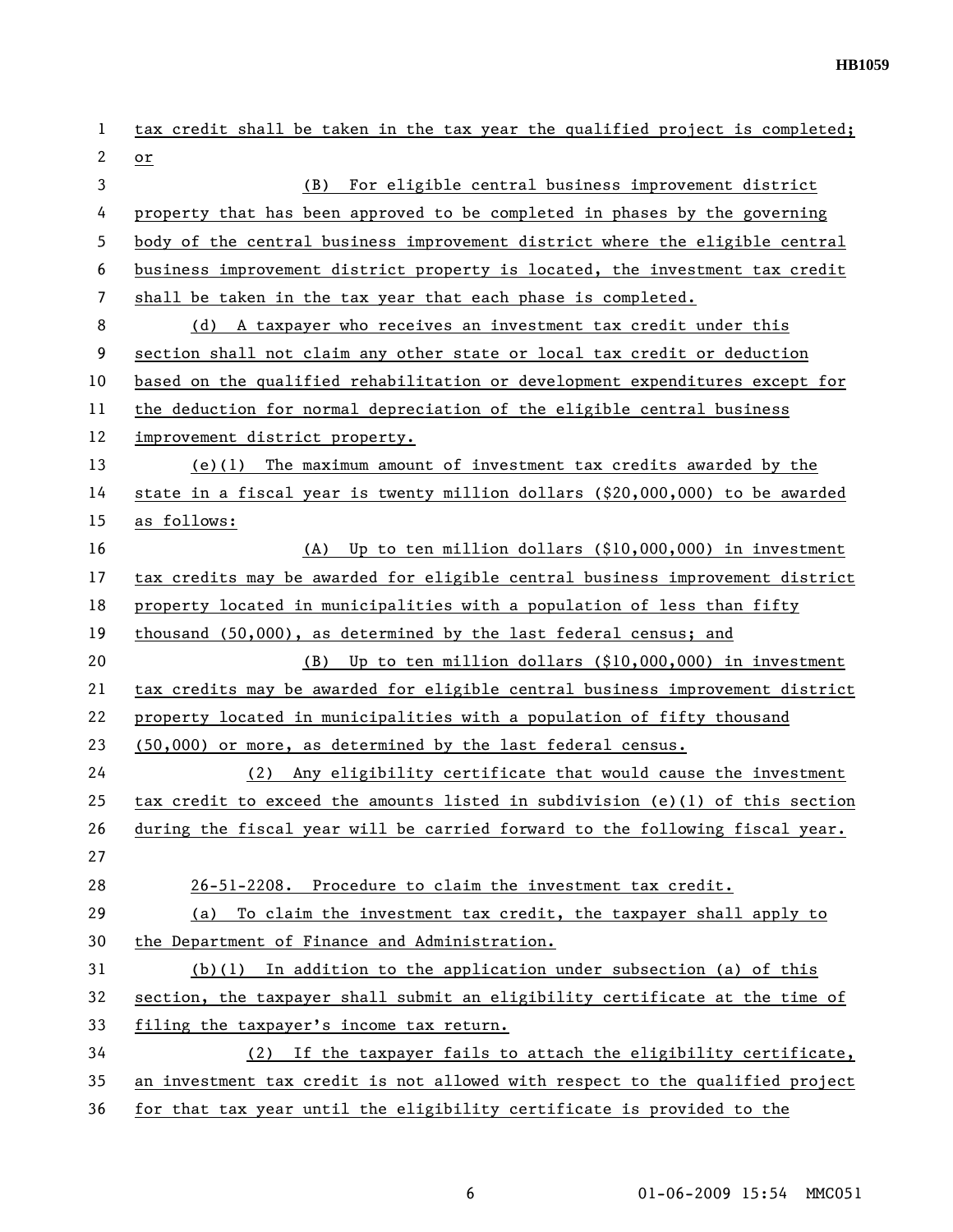| $\mathbf{1}$ | tax credit shall be taken in the tax year the qualified project is completed;   |
|--------------|---------------------------------------------------------------------------------|
| 2            | or                                                                              |
| 3            | (B)<br>For eligible central business improvement district                       |
| 4            | property that has been approved to be completed in phases by the governing      |
| 5            | body of the central business improvement district where the eligible central    |
| 6            | business improvement district property is located, the investment tax credit    |
| 7            | shall be taken in the tax year that each phase is completed.                    |
| 8            | A taxpayer who receives an investment tax credit under this<br>(d)              |
| 9            | section shall not claim any other state or local tax credit or deduction        |
| 10           | based on the qualified rehabilitation or development expenditures except for    |
| 11           | the deduction for normal depreciation of the eligible central business          |
| 12           | improvement district property.                                                  |
| 13           | $(e)(1)$ The maximum amount of investment tax credits awarded by the            |
| 14           | state in a fiscal year is twenty million dollars $(\$20,000,000)$ to be awarded |
| 15           | as follows:                                                                     |
| 16           | Up to ten million dollars (\$10,000,000) in investment<br>(A)                   |
| 17           | tax credits may be awarded for eligible central business improvement district   |
| 18           | property located in municipalities with a population of less than fifty         |
| 19           | thousand (50,000), as determined by the last federal census; and                |
| 20           | Up to ten million dollars (\$10,000,000) in investment<br>(B)                   |
| 21           | tax credits may be awarded for eligible central business improvement district   |
| 22           | property located in municipalities with a population of fifty thousand          |
| 23           | (50,000) or more, as determined by the last federal census.                     |
| 24           | Any eligibility certificate that would cause the investment<br>(2)              |
| 25           | tax credit to exceed the amounts listed in subdivision (e)(1) of this section   |
| 26           | during the fiscal year will be carried forward to the following fiscal year.    |
| 27           |                                                                                 |
| 28           | 26-51-2208. Procedure to claim the investment tax credit.                       |
| 29           | To claim the investment tax credit, the taxpayer shall apply to<br>(a)          |
| 30           | the Department of Finance and Administration.                                   |
| 31           | $(b)(1)$ In addition to the application under subsection (a) of this            |
| 32           | section, the taxpayer shall submit an eligibility certificate at the time of    |
| 33           | filing the taxpayer's income tax return.                                        |
| 34           | (2) If the taxpayer fails to attach the eligibility certificate,                |
| 35           | an investment tax credit is not allowed with respect to the qualified project   |
| 36           | for that tax year until the eligibility certificate is provided to the          |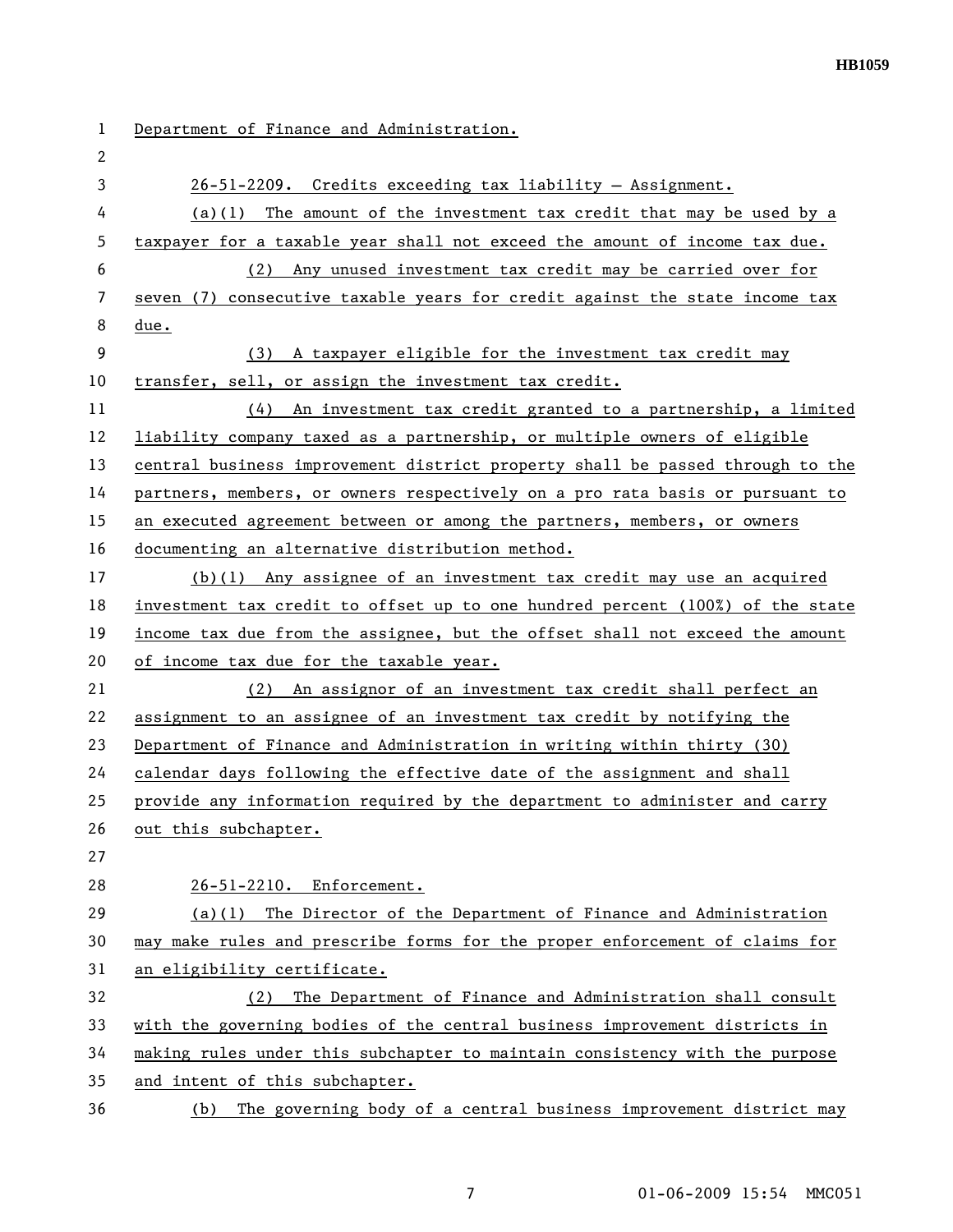| 1  | Department of Finance and Administration.                                     |
|----|-------------------------------------------------------------------------------|
| 2  |                                                                               |
| 3  | $26-51-2209$ . Credits exceeding tax liability - Assignment.                  |
| 4  | $(a)(1)$ The amount of the investment tax credit that may be used by a        |
| 5  | taxpayer for a taxable year shall not exceed the amount of income tax due.    |
| 6  | (2) Any unused investment tax credit may be carried over for                  |
| 7  | seven (7) consecutive taxable years for credit against the state income tax   |
| 8  | due.                                                                          |
| 9  | (3) A taxpayer eligible for the investment tax credit may                     |
| 10 | transfer, sell, or assign the investment tax credit.                          |
| 11 | (4) An investment tax credit granted to a partnership, a limited              |
| 12 | liability company taxed as a partnership, or multiple owners of eligible      |
| 13 | central business improvement district property shall be passed through to the |
| 14 | partners, members, or owners respectively on a pro rata basis or pursuant to  |
| 15 | an executed agreement between or among the partners, members, or owners       |
| 16 | documenting an alternative distribution method.                               |
| 17 | $(b)(1)$ Any assignee of an investment tax credit may use an acquired         |
| 18 | investment tax credit to offset up to one hundred percent (100%) of the state |
| 19 | income tax due from the assignee, but the offset shall not exceed the amount  |
| 20 | of income tax due for the taxable year.                                       |
| 21 | An assignor of an investment tax credit shall perfect an<br>(2)               |
| 22 | assignment to an assignee of an investment tax credit by notifying the        |
| 23 | Department of Finance and Administration in writing within thirty (30)        |
| 24 | calendar days following the effective date of the assignment and shall        |
| 25 | provide any information required by the department to administer and carry    |
| 26 | out this subchapter.                                                          |
| 27 |                                                                               |
| 28 | 26-51-2210. Enforcement.                                                      |
| 29 | $(a)(1)$ The Director of the Department of Finance and Administration         |
| 30 | may make rules and prescribe forms for the proper enforcement of claims for   |
| 31 | an eligibility certificate.                                                   |
| 32 | (2) The Department of Finance and Administration shall consult                |
| 33 | with the governing bodies of the central business improvement districts in    |
| 34 | making rules under this subchapter to maintain consistency with the purpose   |
| 35 | and intent of this subchapter.                                                |
| 36 | The governing body of a central business improvement district may<br>(b)      |